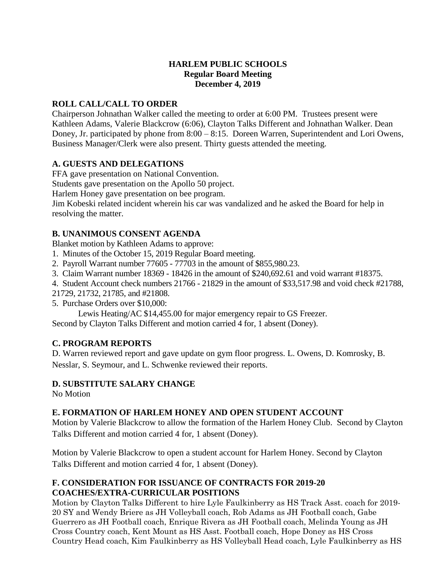## **HARLEM PUBLIC SCHOOLS Regular Board Meeting December 4, 2019**

# **ROLL CALL/CALL TO ORDER**

Chairperson Johnathan Walker called the meeting to order at 6:00 PM. Trustees present were Kathleen Adams, Valerie Blackcrow (6:06), Clayton Talks Different and Johnathan Walker. Dean Doney, Jr. participated by phone from 8:00 – 8:15. Doreen Warren, Superintendent and Lori Owens, Business Manager/Clerk were also present. Thirty guests attended the meeting.

# **A. GUESTS AND DELEGATIONS**

FFA gave presentation on National Convention.

Students gave presentation on the Apollo 50 project.

Harlem Honey gave presentation on bee program.

Jim Kobeski related incident wherein his car was vandalized and he asked the Board for help in resolving the matter.

# **B. UNANIMOUS CONSENT AGENDA**

Blanket motion by Kathleen Adams to approve:

- 1. Minutes of the October 15, 2019 Regular Board meeting.
- 2. Payroll Warrant number 77605 77703 in the amount of \$855,980.23.
- 3. Claim Warrant number 18369 18426 in the amount of \$240,692.61 and void warrant #18375.
- 4. Student Account check numbers 21766 21829 in the amount of \$33,517.98 and void check #21788,
- 21729, 21732, 21785, and #21808.
- 5. Purchase Orders over \$10,000:

Lewis Heating/AC \$14,455.00 for major emergency repair to GS Freezer.

Second by Clayton Talks Different and motion carried 4 for, 1 absent (Doney).

## **C. PROGRAM REPORTS**

D. Warren reviewed report and gave update on gym floor progress. L. Owens, D. Komrosky, B. Nesslar, S. Seymour, and L. Schwenke reviewed their reports.

## **D. SUBSTITUTE SALARY CHANGE**

No Motion

## **E. FORMATION OF HARLEM HONEY AND OPEN STUDENT ACCOUNT**

Motion by Valerie Blackcrow to allow the formation of the Harlem Honey Club. Second by Clayton Talks Different and motion carried 4 for, 1 absent (Doney).

Motion by Valerie Blackcrow to open a student account for Harlem Honey. Second by Clayton Talks Different and motion carried 4 for, 1 absent (Doney).

## **F. CONSIDERATION FOR ISSUANCE OF CONTRACTS FOR 2019-20 COACHES/EXTRA-CURRICULAR POSITIONS**

Motion by Clayton Talks Different to hire Lyle Faulkinberry as HS Track Asst. coach for 2019- 20 SY and Wendy Briere as JH Volleyball coach, Rob Adams as JH Football coach, Gabe Guerrero as JH Football coach, Enrique Rivera as JH Football coach, Melinda Young as JH Cross Country coach, Kent Mount as HS Asst. Football coach, Hope Doney as HS Cross Country Head coach, Kim Faulkinberry as HS Volleyball Head coach, Lyle Faulkinberry as HS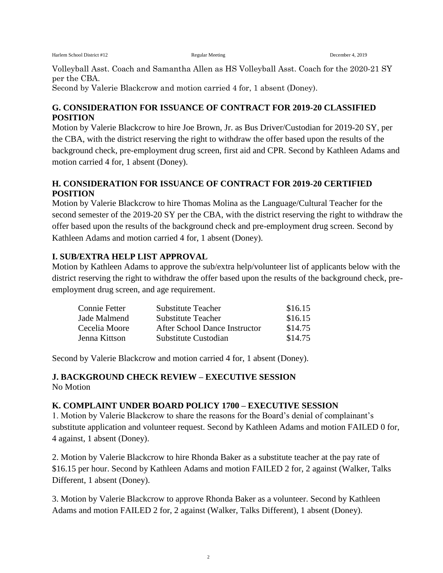Volleyball Asst. Coach and Samantha Allen as HS Volleyball Asst. Coach for the 2020-21 SY per the CBA.

Second by Valerie Blackcrow and motion carried 4 for, 1 absent (Doney).

## **G. CONSIDERATION FOR ISSUANCE OF CONTRACT FOR 2019-20 CLASSIFIED POSITION**

Motion by Valerie Blackcrow to hire Joe Brown, Jr. as Bus Driver/Custodian for 2019-20 SY, per the CBA, with the district reserving the right to withdraw the offer based upon the results of the background check, pre-employment drug screen, first aid and CPR. Second by Kathleen Adams and motion carried 4 for, 1 absent (Doney).

# **H. CONSIDERATION FOR ISSUANCE OF CONTRACT FOR 2019-20 CERTIFIED POSITION**

Motion by Valerie Blackcrow to hire Thomas Molina as the Language/Cultural Teacher for the second semester of the 2019-20 SY per the CBA, with the district reserving the right to withdraw the offer based upon the results of the background check and pre-employment drug screen. Second by Kathleen Adams and motion carried 4 for, 1 absent (Doney).

# **I. SUB/EXTRA HELP LIST APPROVAL**

Motion by Kathleen Adams to approve the sub/extra help/volunteer list of applicants below with the district reserving the right to withdraw the offer based upon the results of the background check, preemployment drug screen, and age requirement.

| Connie Fetter | <b>Substitute Teacher</b>     | \$16.15 |
|---------------|-------------------------------|---------|
| Jade Malmend  | Substitute Teacher            | \$16.15 |
| Cecelia Moore | After School Dance Instructor | \$14.75 |
| Jenna Kittson | Substitute Custodian          | \$14.75 |

Second by Valerie Blackcrow and motion carried 4 for, 1 absent (Doney).

## **J. BACKGROUND CHECK REVIEW – EXECUTIVE SESSION** No Motion

## **K. COMPLAINT UNDER BOARD POLICY 1700 – EXECUTIVE SESSION**

1. Motion by Valerie Blackcrow to share the reasons for the Board's denial of complainant's substitute application and volunteer request. Second by Kathleen Adams and motion FAILED 0 for, 4 against, 1 absent (Doney).

2. Motion by Valerie Blackcrow to hire Rhonda Baker as a substitute teacher at the pay rate of \$16.15 per hour. Second by Kathleen Adams and motion FAILED 2 for, 2 against (Walker, Talks Different, 1 absent (Doney).

3. Motion by Valerie Blackcrow to approve Rhonda Baker as a volunteer. Second by Kathleen Adams and motion FAILED 2 for, 2 against (Walker, Talks Different), 1 absent (Doney).